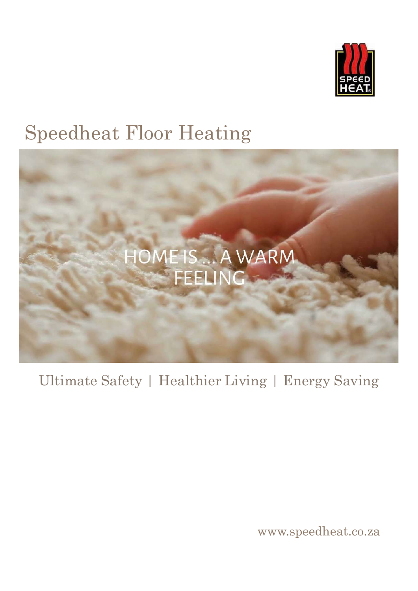

# Speedheat Floor Heating



## Ultimate Safety | Healthier Living | Energy Saving

www.speedheat.co.za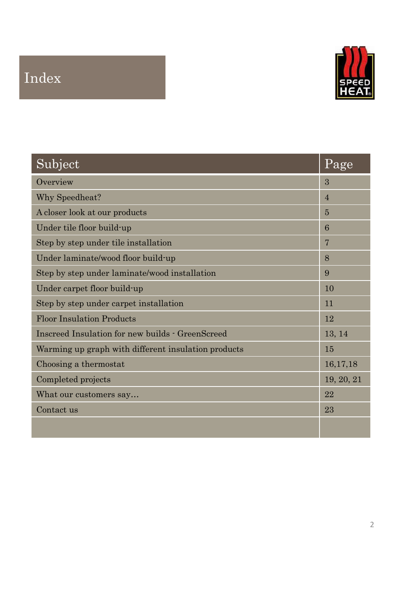## Index



| Subject                                             | Page             |
|-----------------------------------------------------|------------------|
| Overview                                            | $\sqrt{3}$       |
| Why Speedheat?                                      | $\sqrt{4}$       |
| A closer look at our products                       | $\bf 5$          |
| Under tile floor build-up                           | $\,6\,$          |
| Step by step under tile installation                | $\sqrt{ }$       |
| Under laminate/wood floor build-up                  | $8\,$            |
| Step by step under laminate/wood installation       | $\boldsymbol{9}$ |
| Under carpet floor build-up                         | 10               |
| Step by step under carpet installation              | 11               |
| <b>Floor Insulation Products</b>                    | 12               |
| Inscreed Insulation for new builds - GreenScreed    | 13, 14           |
| Warming up graph with different insulation products | 15               |
| Choosing a thermostat                               | 16,17,18         |
| Completed projects                                  | 19, 20, 21       |
| What our customers say                              | 22               |
| Contact us                                          | 23               |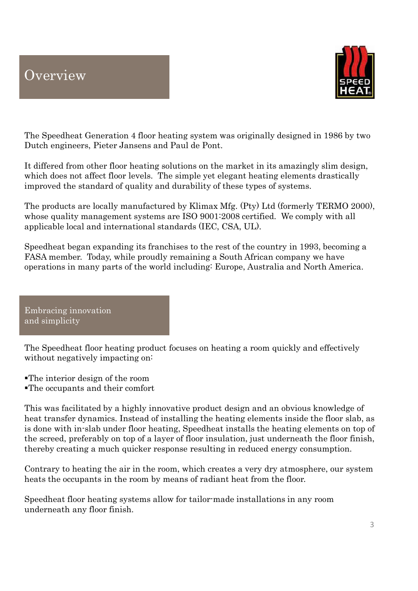### **Overview**



The Speedheat Generation 4 floor heating system was originally designed in 1986 by two Dutch engineers, Pieter Jansens and Paul de Pont.

It differed from other floor heating solutions on the market in its amazingly slim design, which does not affect floor levels. The simple yet elegant heating elements drastically improved the standard of quality and durability of these types of systems.

The products are locally manufactured by Klimax Mfg. (Pty) Ltd (formerly TERMO 2000), whose quality management systems are ISO 9001:2008 certified. We comply with all applicable local and international standards (IEC, CSA, UL).

Speedheat began expanding its franchises to the rest of the country in 1993, becoming a FASA member. Today, while proudly remaining a South African company we have operations in many parts of the world including: Europe, Australia and North America.

Embracing innovation and simplicity

The Speedheat floor heating product focuses on heating a room quickly and effectively without negatively impacting on:

The interior design of the room The occupants and their comfort

This was facilitated by a highly innovative product design and an obvious knowledge of heat transfer dynamics. Instead of installing the heating elements inside the floor slab, as is done with in-slab under floor heating, Speedheat installs the heating elements on top of the screed, preferably on top of a layer of floor insulation, just underneath the floor finish, thereby creating a much quicker response resulting in reduced energy consumption.

Contrary to heating the air in the room, which creates a very dry atmosphere, our system heats the occupants in the room by means of radiant heat from the floor.

Speedheat floor heating systems allow for tailor-made installations in any room underneath any floor finish.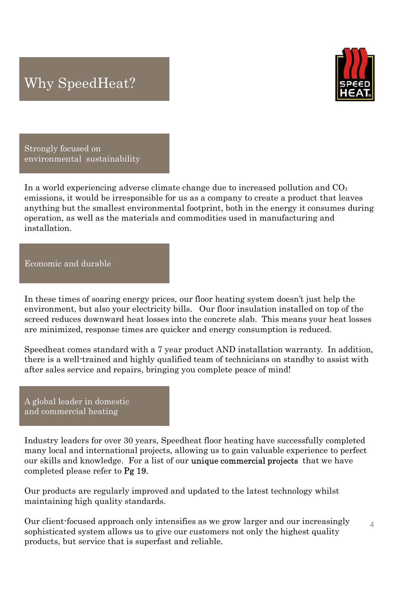## Why SpeedHeat?



Strongly focused on environmental sustainability

In a world experiencing adverse climate change due to increased pollution and  $CO<sub>2</sub>$ emissions, it would be irresponsible for us as a company to create a product that leaves anything but the smallest environmental footprint, both in the energy it consumes during operation, as well as the materials and commodities used in manufacturing and installation.

Economic and durable

In these times of soaring energy prices, our floor heating system doesn't just help the environment, but also your electricity bills. Our floor insulation installed on top of the screed reduces downward heat losses into the concrete slab. This means your heat losses are minimized, response times are quicker and energy consumption is reduced. In these times of soaring energy prices, our floor heating system does<br>environment, but also your electricity bills. Our floor insulation instanced<br>referred reduces downward heat losses into the concrete slab. This mea<br>ar

Speedheat comes standard with a 7 year product AND installation warranty. In addition, there is a well-trained and highly qualified team of technicians on standby to assist with after sales service and repairs, bringing you complete peace of mind!

A global leader in domestic and commercial heating

Industry leaders for over 30 years, Speedheat floor heating have successfully completed many local and international projects, allowing us to gain valuable experience to perfect our skills and knowledge. For a list of our **unique commercial projects** that we have

Our products are regularly improved and updated to the latest technology whilst maintaining high quality standards.

Our client-focused approach only intensifies as we grow larger and our increasingly sophisticated system allows us to give our customers not only the highest quality products, but service that is superfast and reliable.

 $\Delta$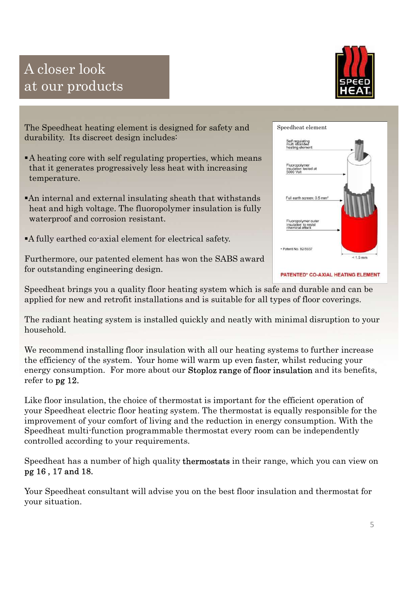## A closer look at our products



The Speedheat heating element is designed for safety and durability. Its discreet design includes:

- A heating core with self regulating properties, which means that it generates progressively less heat with increasing temperature.
- An internal and external insulating sheath that withstands waterproof and corrosion resistant.
- A fully earthed co-axial element for electrical safety.

Furthermore, our patented element has won the SABS award for outstanding engineering design.

Speedheat brings you a quality floor heating system which is safe and durable and can be applied for new and retrofit installations and is suitable for all types of floor coverings.

The radiant heating system is installed quickly and neatly with minimal disruption to your household.

We recommend installing floor insulation with all our heating systems to further increase the efficiency of the system. Your home will warm up even faster, whilst reducing your Family internal and external insulating sheath that withstands<br>
heat and high voltage. The fluoropolymer insulation is fully<br>
waterproof and corrosion resistant.<br>
Furthermore, our patented element has won the SABS award<br>
f refer to pg 12.

Like floor insulation, the choice of thermostat is important for the efficient operation of The method is extinted a demonstrated between the states of the thermost and for outstanding engineering design.<br>
Speedheat brings you a quality floor heating system which is safe and durable and can be applied for new and improvement of your comfort of living and the reduction in energy consumption. With the Speedheat multi-function programmable thermostat every room can be independently controlled according to your requirements.

Speedheat has a number of high quality thermostats in their range, which you can view on pg 16 , 17 and 18.

Your Speedheat consultant will advise you on the best floor insulation and thermostat for your situation.



5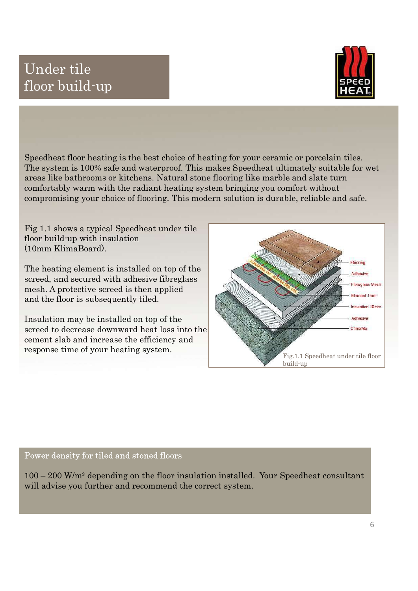## Under tile floor build-up



Speedheat floor heating is the best choice of heating for your ceramic or porcelain tiles. The system is 100% safe and waterproof. This makes Speedheat ultimately suitable for wetching is the best choice of heating for your ceramic or porcelain tiles.<br>The system is 100% safe and waterproof. This makes Speedheat **Example 18 Areas like bathrooms or kitchens. Natural stock or kitchens. Natural stock or seeding for your ceramic or porcelain tiles.**<br>The system is 100% safe and waterproof. This makes Speedheat ultimately suitable for w comfortably warm with the radiant heating system bringing you comfort without **Compare 1998**<br> **Compare 1998**<br> **Compare 1998**<br>
Speedheat floor heating is the best choice of heating for your ceramic or porcelain tiles.<br>
The system is 100% safe and waterproof. This makes Speedheat ultimately suitable f

Fig 1.1 shows a typical Speedheat under tile floor build-up with insulation (10mm KlimaBoard).

The heating element is installed on top of the screed, and secured with adhesive fibreglass mesh. A protective screed is then applied and the floor is subsequently tiled.

Insulation may be installed on top of the screed to decrease downward heat loss into the cement slab and increase the efficiency and response time of your heating system.



### Power density for tiled and stoned floors

will advise you further and recommend the correct system.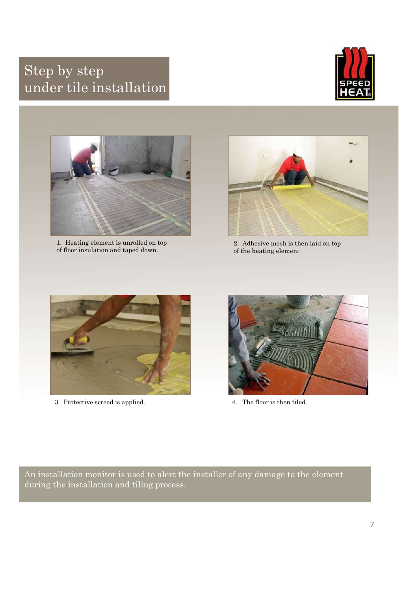## Step by step under tile installation





1. Heating element is unrolled on top of floor insulation and taped down.



2. Adhesive mesh is then laid on top of the heating element



3. Protective screed is applied. 4. The floor is then tiled.



An installation monitor is used to alert the installer of any damage to the element during the installation and tiling process.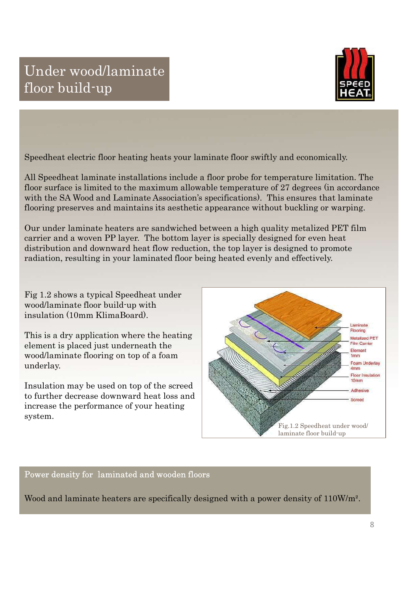

Speedheat electric floor heating heats your laminate floor swiftly and economically.

All Speedheat laminate installations include a floor probe for temperature limitation. The floor surface is limited to the maximum allowable temperature of 27 degrees (in accordance with the SA Wood and Laminate Association's specifications). This ensures that laminate flooring preserves and maintains its aesthetic appearance without buckling or warping.

Our under laminate heaters are sandwiched between a high quality metalized PET film carrier and a woven PP layer. The bottom layer is specially designed for even heat distribution and downward heat flow reduction, the top layer is designed to promote radiation, resulting in your laminated floor being heated evenly and effectively.

Fig 1.2 shows a typical Speedheat under wood/laminate floor build-up with insulation (10mm KlimaBoard).

This is a dry application where the heating element is placed just underneath the wood/laminate flooring on top of a foam underlay.

Insulation may be used on top of the screed to further decrease downward heat loss and increase the performance of your heating system.



### Power density for laminated and wooden floors

Wood and laminate heaters are specifically designed with a power density of 110W/m².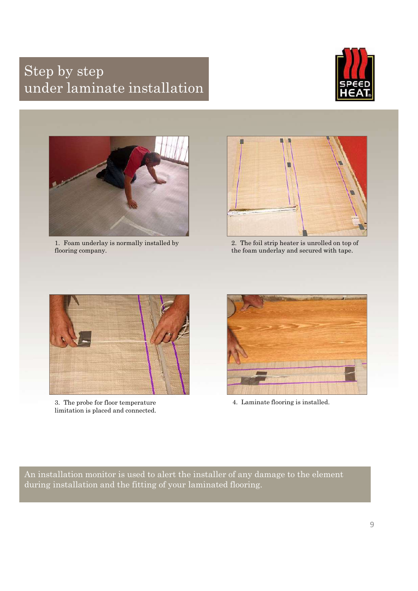## Step by step under laminate installation





1. Foam underlay is normally installed by flooring company.



2. The foil strip heater is unrolled on top of the foam underlay and secured with tape.



3. The probe for floor temperature limitation is placed and connected.



4. Laminate flooring is installed.

An installation monitor is used to alert the installer of any damage to the element during installation and the fitting of your laminated flooring.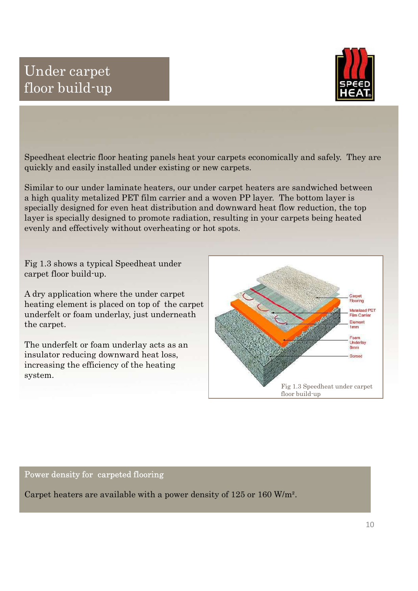### Under carpet floor build-up



Speedheat electric floor heating panels heat your carpets economically and safely. They are quickly and easily installed under existing or new carpets.

Similar to our under laminate heaters, our under carpet heaters are sandwiched between a high quality metalized PET film carrier and a woven PP layer. The bottom layer is specially designed for even heat distribution and downward heat flow reduction, the top layer is specially designed to promote radiation, resulting in your carpets being heated evenly and effectively without overheating or hot spots.

Fig 1.3 shows a typical Speedheat under carpet floor build-up.

A dry application where the under carpet heating element is placed on top of the carpet underfelt or foam underlay, just underneath the carpet.

The underfelt or foam underlay acts as an insulator reducing downward heat loss, increasing the efficiency of the heating system.



Power density for carpeted flooring

Carpet heaters are available with a power density of 125 or 160 W/m².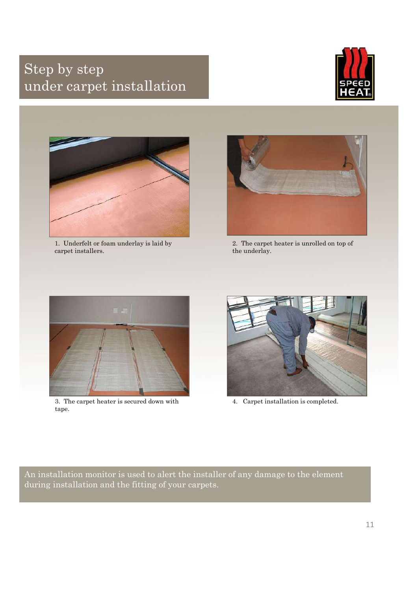## Step by step under carpet installation





1. Underfelt or foam underlay is laid by carpet installers.



2. The carpet heater is unrolled on top of the underlay.



3. The carpet heater is secured down with tape.



4. Carpet installation is completed.

An installation monitor is used to alert the installer of any damage to the element during installation and the fitting of your carpets.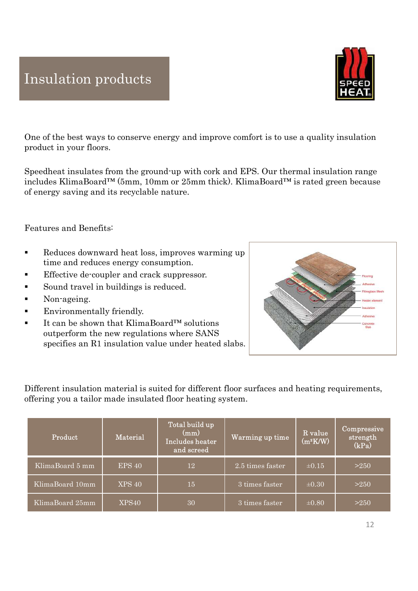### Insulation products

One of the best ways to conserve energy and improve comfort is to use a quality insulation product in your floors.

Speedheat insulates from the ground-up with cork and EPS. Our thermal insulation range **includes KlimaBoard™ (5mm, 10mm or 25mm thick).** KlimaBoard™ is rated green because the best ways to conserve energy and improve comfort is to use a quality insulation product in your floors.<br>Speedheat insulates from the of energy saving and its recyclable nature.

Features and Benefits:

- Reduces downward heat loss, improves warming up time and reduces energy consumption.
- Effective de-coupler and crack suppressor.
- Sound travel in buildings is reduced.
- Non-ageing.
- Environmentally friendly.
- outperform the new regulations where SANS specifies an R1 insulation value under heated slabs.

| Sound travel in buildings is reduced.<br>Non-ageing.<br>Environmentally friendly.<br>It can be shown that KlimaBoard <sup>TM</sup> solutions<br>outperform the new regulations where SANS<br>specifies an R1 insulation value under heated slabs.<br>Different insulation material is suited for different floor surfaces and heating requirements, | <b>Eibreglass Mesh</b><br>ester elemen<br>Artheeiwe<br>Concrete |
|-----------------------------------------------------------------------------------------------------------------------------------------------------------------------------------------------------------------------------------------------------------------------------------------------------------------------------------------------------|-----------------------------------------------------------------|
| offering you a tailor made insulated floor heating system.<br>Total build up<br>(mm)<br>R value<br>Material<br>Product<br>Warming up time<br>Includes heater<br>$(m^2K/W)$<br>and screed                                                                                                                                                            | Compressive<br>strength<br>(kPa)                                |
| KlimaBoard 5 mm<br><b>EPS 40</b><br>2.5 times faster<br>$\pm 0.15$<br>12                                                                                                                                                                                                                                                                            | >250                                                            |
| KlimaBoard 10mm<br><b>XPS 40</b><br>15 <sup>°</sup><br>3 times faster<br>$\pm 0.30$                                                                                                                                                                                                                                                                 | >250                                                            |
| KlimaBoard 25mm<br>XPS40<br>3 times faster<br>$\pm 0.80$<br>30                                                                                                                                                                                                                                                                                      | $>250$                                                          |
|                                                                                                                                                                                                                                                                                                                                                     |                                                                 |



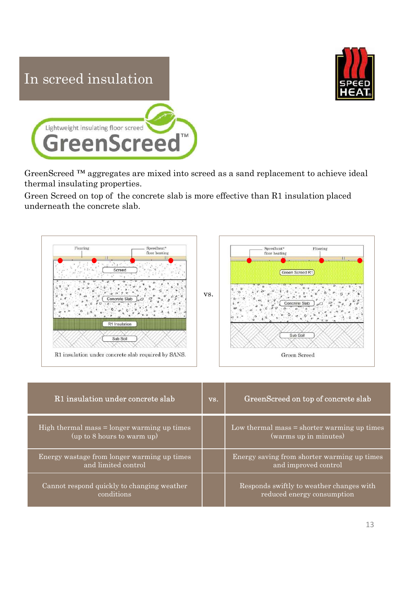



thermal insulating properties.

Green Screed on top of the concrete slab is more effective than R1 insulation placed underneath the concrete slab.



| R1 Insulation<br>Sub Soil<br>R1 insulation under concrete slab required by SANS. |     | Sub Soil<br>Green Screed                                               |
|----------------------------------------------------------------------------------|-----|------------------------------------------------------------------------|
| R1 insulation under concrete slab                                                | VS. | GreenScreed on top of concrete slab                                    |
| High thermal mass $=$ longer warming up times<br>(up to 8 hours to warm up)      |     | Low thermal mass $=$ shorter warming up times<br>(warms up in minutes) |
| Energy wastage from longer warming up times<br>and limited control               |     | Energy saving from shorter warming up times<br>and improved control    |
| Cannot respond quickly to changing weather<br>conditions                         |     | Responds swiftly to weather changes with<br>reduced energy consumption |
|                                                                                  |     | 13                                                                     |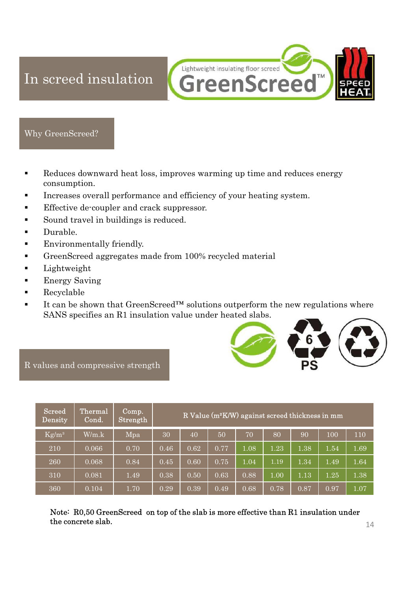Lightweight insulating floor screed In screed insulation **GreenScreed TM** 

### Why GreenScreed?

- Reduces downward heat loss, improves warming up time and reduces energy consumption.
- Increases overall performance and efficiency of your heating system.
- Effective de-coupler and crack suppressor.
- Sound travel in buildings is reduced.
- Durable.
- Environmentally friendly.
- GreenScreed aggregates made from 100% recycled material
- Lightweight
- Energy Saving
- Recyclable
- It can be shown that deal to solutions outperformance and reflictions of the solutions of the solutions of the solutions over the solutions over the solution of the solution of the solution of the solution of the solution SANS specifies an R1 insulation value under heated slabs.



R values and compressive strength

| Lightweight<br><b>Energy Saving</b><br>Recyclable | GreenScreed aggregates made from 100% recycled material<br>It can be shown that GreenScreed <sup>TM</sup> solutions outperform the new regulations where<br>SANS specifies an R1 insulation value under heated slabs.<br>alues and compressive strength |                   |      |      |      |      |                                                             |          |          |          |
|---------------------------------------------------|---------------------------------------------------------------------------------------------------------------------------------------------------------------------------------------------------------------------------------------------------------|-------------------|------|------|------|------|-------------------------------------------------------------|----------|----------|----------|
| <b>Screed</b><br><b>Density</b>                   | Thermal<br>Cond.                                                                                                                                                                                                                                        | Comp.<br>Strength |      |      |      |      | R Value (m <sup>2</sup> K/W) against screed thickness in mm |          |          |          |
| $Kg/m^3$                                          | W/m.k                                                                                                                                                                                                                                                   | Mpa               | 30   | 40   | 50   | 70   | 80                                                          | 90       | 100      | 110      |
| 210                                               | 0.066                                                                                                                                                                                                                                                   | 0.70              | 0.46 | 0.62 | 0.77 | 1.08 | 1.23                                                        | 1.38     | 1.54     | 1.69     |
|                                                   |                                                                                                                                                                                                                                                         |                   |      |      |      |      |                                                             |          |          |          |
| 260                                               | 0.068                                                                                                                                                                                                                                                   | 0.84              | 0.45 | 0.60 | 0.75 | 1.04 | 1.19                                                        | 1.34     | 1.49     | 1.64     |
| 310                                               | 0.081                                                                                                                                                                                                                                                   | 1.49              | 0.38 | 0.50 | 0.63 | 0.88 | 1.00                                                        | $1.13\,$ | $1.25\,$ | 1.38     |
| 360                                               | 0.104                                                                                                                                                                                                                                                   | 1.70              | 0.29 | 0.39 | 0.49 | 0.68 | $0.78\,$                                                    | $0.87\,$ | $0.97\,$ | $1.07\,$ |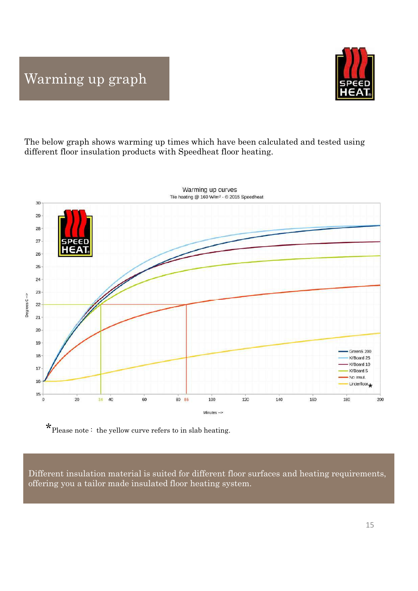

The below graph shows warming up times which have been calculated and tested using different floor insulation products with Speedheat floor heating.



 $\mathbf{\mathbf{\star}}$  Please note : the yellow curve refers to in slab heating.

Different insulation material is suited for different floor surfaces and heating requirements,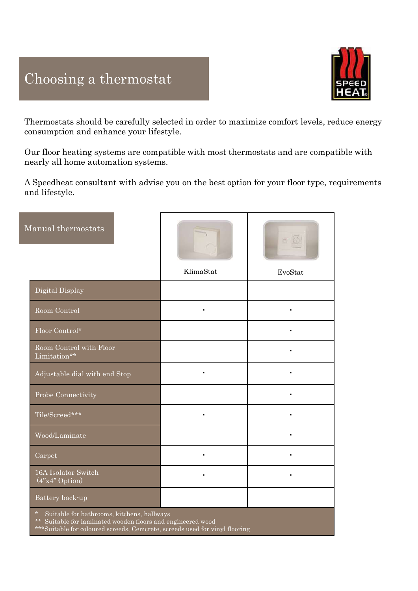

Thermostats should be carefully selected in order to maximize comfort levels, reduce energy consumption and enhance your lifestyle. Choosing a thermostat<br>
Thermostats should be carefully selected in order to maximize comfort levels, reduce energy<br>
consumption and enhance your lifestyle.<br>
Our floor heating systems are compatible with most thermostats an

| consumption and enhance your lifestyle.                                                                                                                                                             |           |                 |
|-----------------------------------------------------------------------------------------------------------------------------------------------------------------------------------------------------|-----------|-----------------|
| Our floor heating systems are compatible with most thermostats and are compatible with<br>nearly all home automation systems.                                                                       |           |                 |
| A Speedheat consultant with advise you on the best option for your floor type, requirements<br>and lifestyle.                                                                                       |           |                 |
| Manual thermostats                                                                                                                                                                                  |           | $\circ$ $\circ$ |
|                                                                                                                                                                                                     | KlimaStat | EvoStat         |
| Digital Display                                                                                                                                                                                     |           |                 |
| Room Control                                                                                                                                                                                        | ٠         | $\blacksquare$  |
| Floor Control*                                                                                                                                                                                      |           |                 |
| Room Control with Floor<br>Limitation**                                                                                                                                                             |           | $\blacksquare$  |
| Adjustable dial with end Stop                                                                                                                                                                       | ٠         |                 |
| Probe Connectivity                                                                                                                                                                                  |           | $\blacksquare$  |
| Tile/Screed***                                                                                                                                                                                      | ٠         | $\blacksquare$  |
| Wood/Laminate                                                                                                                                                                                       |           | $\blacksquare$  |
| Carpet                                                                                                                                                                                              |           | ٠               |
| 16A Isolator Switch<br>$(4"x4"$ Option)                                                                                                                                                             | ٠         | $\blacksquare$  |
| Battery back-up                                                                                                                                                                                     |           |                 |
| Suitable for bathrooms, kitchens, hallways<br>$\star$<br>** Suitable for laminated wooden floors and engineered wood<br>***Suitable for coloured screeds, Cemcrete, screeds used for vinyl flooring |           |                 |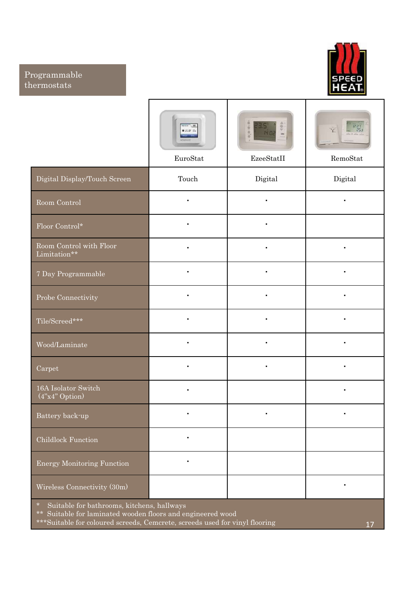### Programmable thermostats



| pgrammable<br>rmostats                                                    |                                                       |                                                                                  | <b>SPEED</b>                                                          |
|---------------------------------------------------------------------------|-------------------------------------------------------|----------------------------------------------------------------------------------|-----------------------------------------------------------------------|
|                                                                           | <b>Marine Allen</b><br>$0.21.0^{\circ}$ %<br>EuroStat | $\frac{1}{2}$ der<br>${\bf E}{\bf z}{\bf e}{\bf S}{\bf t}{\bf a}{\bf t}{\bf II}$ | $rac{1227}{253}$<br>allow \$1.000<br>$\ensuremath{\mathsf{RemoStat}}$ |
| Digital Display/Touch Screen                                              | Touch                                                 | Digital                                                                          | Digital                                                               |
| Room Control                                                              | $\bullet$                                             | $\blacksquare$                                                                   |                                                                       |
| Floor Control*                                                            | $\bullet$                                             | $\bullet$                                                                        |                                                                       |
| $\operatorname{Room}$ Control with $\operatorname{Floor}$<br>Limitation** | $\bullet$                                             | $\blacksquare$                                                                   |                                                                       |
| 7 Day Programmable                                                        | $\bullet$                                             | $\blacksquare$                                                                   |                                                                       |
| Probe Connectivity                                                        |                                                       |                                                                                  |                                                                       |
| Tile/Screed***                                                            | $\blacksquare$                                        | $\blacksquare$                                                                   |                                                                       |
| Wood/Laminate                                                             | $\bullet$                                             | $\blacksquare$                                                                   |                                                                       |
| Carpet                                                                    | $\bullet$                                             | $\blacksquare$                                                                   |                                                                       |
| 16A Isolator Switch<br>$(4"x4"$ Option)                                   |                                                       |                                                                                  |                                                                       |
| Battery back-up                                                           |                                                       | $\blacksquare$                                                                   |                                                                       |
| Childlock Function                                                        | $\bullet$                                             |                                                                                  |                                                                       |
| Energy Monitoring Function                                                |                                                       |                                                                                  |                                                                       |
| Wireless Connectivity (30m)                                               |                                                       |                                                                                  |                                                                       |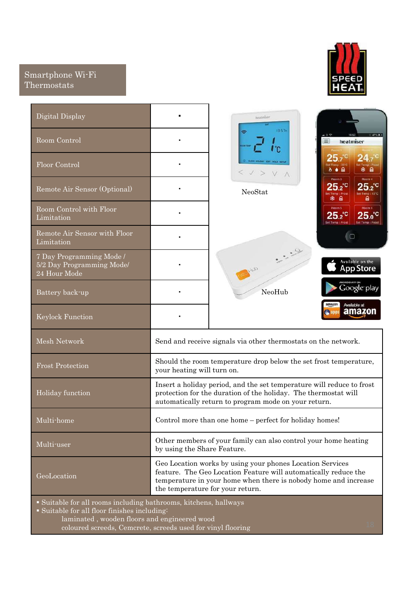### Smartphone Wi-Fi Thermostats



| martphone Wi-Fi<br>hermostats                                                                                  |                             |                                                                                                                                                                                                                                     |                                                                                                              |
|----------------------------------------------------------------------------------------------------------------|-----------------------------|-------------------------------------------------------------------------------------------------------------------------------------------------------------------------------------------------------------------------------------|--------------------------------------------------------------------------------------------------------------|
| Digital Display                                                                                                | $\blacksquare$              | heatmiser                                                                                                                                                                                                                           |                                                                                                              |
| Room Control                                                                                                   |                             | 131576<br>$\Rightarrow$<br>l C                                                                                                                                                                                                      | $-3$<br>heatmiser<br>≡                                                                                       |
| Floor Control                                                                                                  |                             | <b>CLOCK HOLLDAY EDIT HOLD SETLE</b><br>$<<$ $>$ $<$ $\land$ $\land$                                                                                                                                                                | $24.7^\circ$<br>25,<br><b>® A</b><br>8 O A                                                                   |
| Remote Air Sensor (Optional)                                                                                   |                             | NeoStat                                                                                                                                                                                                                             | Room 4<br>Room <sub>3</sub><br>$25.2^{\circ}$<br>$25.2^{\circ}$<br>Set Temp : 12°C<br>Tomp : Fro<br>a<br>* a |
| Room Control with Floor<br>Limitation                                                                          | ×                           |                                                                                                                                                                                                                                     | Room 6<br><b>Room 5</b><br>$25.2^{\circ}$<br>$25.0^{\circ}$<br>Set Temp : Frost<br>Set Temp : Frest          |
| Remote Air Sensor with Floor<br>Limitation                                                                     | ×                           |                                                                                                                                                                                                                                     | $\Box$                                                                                                       |
| 7 Day Programming Mode /<br>5/2 Day Programming Mode/<br>24 Hour Mode                                          |                             |                                                                                                                                                                                                                                     | Available on the<br><b>App Store</b>                                                                         |
| Battery back-up                                                                                                |                             | NeoHub                                                                                                                                                                                                                              | Google play                                                                                                  |
| <b>Keylock Function</b>                                                                                        | ٠                           |                                                                                                                                                                                                                                     | amazon<br>Available at<br>amazon                                                                             |
| Mesh Network                                                                                                   |                             | Send and receive signals via other thermostats on the network.                                                                                                                                                                      |                                                                                                              |
| <b>Frost Protection</b>                                                                                        | your heating will turn on.  | Should the room temperature drop below the set frost temperature,                                                                                                                                                                   |                                                                                                              |
| Holiday function                                                                                               |                             | Insert a holiday period, and the set temperature will reduce to frost<br>protection for the duration of the holiday. The thermostat will<br>automatically return to program mode on your return.                                    |                                                                                                              |
| Multi-home                                                                                                     |                             | Control more than one home - perfect for holiday homes!                                                                                                                                                                             |                                                                                                              |
| Multi-user                                                                                                     | by using the Share Feature. | Other members of your family can also control your home heating                                                                                                                                                                     |                                                                                                              |
| GeoLocation                                                                                                    |                             | Geo Location works by using your phones Location Services<br>feature. The Geo Location Feature will automatically reduce the<br>temperature in your home when there is nobody home and increase<br>the temperature for your return. |                                                                                                              |
| · Suitable for all rooms including bathrooms, kitchens, hallways<br>Suitable for all floor finishes including: |                             |                                                                                                                                                                                                                                     |                                                                                                              |
| laminated, wooden floors and engineered wood<br>coloured screeds, Cemcrete, screeds used for vinyl flooring    |                             |                                                                                                                                                                                                                                     |                                                                                                              |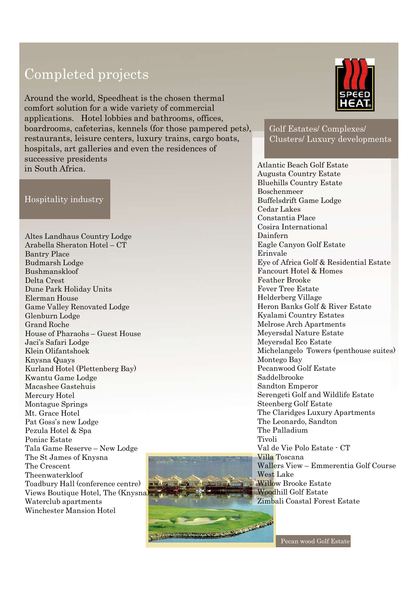## Completed projects

Completed projects<br>
Around the world, Speedheat is the chosen thermal<br>
comfort solution for a wide variety of commercial<br>
applications, Hotel lobbies and bathrooms, offices,<br>
boardrooms, cafterias, kennels (for those pampe Completed projects<br>
Around the world, Speedheat is the chosen thermal<br>
comfort solution for a wide variety of commercial<br>
applications. Hotel lobbiss and bathrooms, offices,<br>
boardrooms, cafcterias, knemels (for those pamp Completed projects<br>
Around the world, Speedheat is the chosen thermal<br>
comfort solution for a wide variety of commercial<br>
applications. Hotel lobbies and bathrooms, offices,<br>
hospitalis, art galleries and even the residenc Compression (and the world, Speedheat is the chosen thermal<br>
applications. Hotel lobbies and bathrooms, offereins, kemels (for those pampered pets),<br>
boardrooms, cafternias, kemels (for those pampered pets),<br>
confractions, Around the world, Speedheat is the chosen thermal comfort solution for a wide variety of commercial applications. Hotel lobbies and bathrooms, offices, boardrooms, cafeterias, kennels (for those pampered pets), restaurants, leisure centers, luxury trains, cargo boats, hospitals, art galleries and even the residences of successive presidents in South Africa.<br>
Atlantic Beach Golf Estate

### Hospitality industry

Bushmanskloof Delta Crest Dune Park Holiday Units applications. Hotel lobbies and bathrooms, offices,<br>
boardrooms, cafeterias, kennels (for those pampered pets),<br>
restaurants, lesure centers, luxury trains, cargo boats,<br>
clus<br>
successive presidents<br>
in South Africa.<br>
Hosp Game Valley Renovated Lodge Glenburn Lodge Grand Roche Nospitalis, art galleries and even the residences of<br>
successive presidents<br>
Maritie Beach Golf<br>
in South Africa.<br>
Hospitality industry<br>
Hospitality industry<br>
Hospitality industry<br>
Hospitality industry<br>
Developer of Banker successive presidents<br>
in South Africa.<br>
Maspitality industry<br>
Buelo Bosed<br>
Buelo Bosed<br>
Coda<br>
Consel<br>
Coda<br>
Consel<br>
Coda<br>
Consel<br>
Consel<br>
Consel<br>
Consel<br>
Consel<br>
Consel<br>
Consel<br>
Consel<br>
Consel<br>
Consel<br>
Consel<br>
Consel<br>
Con Klein Olifantshoek Mospitality industry<br>
Hospitality industry<br>
Buehil<br>
Buehil<br>
Bosche<br>
Eddar I Bosche<br>
Cedar I Constal<br>
Constal<br>
Constal<br>
Constal<br>
Constal<br>
Constal<br>
Constal<br>
Constal<br>
Constal<br>
Constal<br>
Constal<br>
Constal<br>
Constal<br>
Constal<br>
Cons Hospitality industry<br>
Mospitality industry<br>
Mospitality industry<br>
Excelemence<br>
Edit Lakes<br>
Altes Landhaus Country Lodge<br>
Cedar Lakes<br>
Cedar Lakes<br>
Cedar Lakes<br>
Cedar Lakes<br>
Cedar Lakes<br>
Darky Place<br>
Baylmanshkologe<br>
Baylma Hospitality industry<br>
Buffelse<br>
Mates Landhaus Country Lodge<br>
Cedar I<br>
Constant<br>
Arabella Sheraton Hotel – CT<br>
Constant<br>
Dainfer<br>
Dainfer<br>
Dainfer<br>
Dainfer<br>
Bushmanskloof<br>
Bushmanskloof<br>
Bushmanskloof<br>
Daine Yalive Renovat Hospitanty Hitlstary<br>
Cedar Lal<br>
Costanti<br>
Cedar Lal<br>
Costantin<br>
Arabella Sheraton Hotel – CT<br>
Daumers Rachel German Hotel<br>
Bushmanskloof<br>
Bushmanskloof<br>
Bushmanskloof<br>
Bushmanskloof<br>
Bushmanskloof<br>
Bushmanskloof<br>
Eerman H Mercury Hotel Montague Springs Mt. Grace Hotel Pat Goss's new Lodge Arabelai Sherian<br>
Hotel Banky Place<br>
Banky Place<br>
Budmarsh Lodge<br>
Delta Crest<br>
Dune Park Holiday Units<br>
Elerman House<br>
Cleane Valley Renovated Lodge<br>
Grame Valley Renovated Lodge<br>
Grame Valley Renovated Lodge<br>
Grame Valley Bushmanskloof<br>
Bushmanskloof Eye of<br>
Poniac Cest<br>
Dune Park Holiday Units<br>
Dune Park Holiday Units<br>
Elemburn Lodge<br>
Came Valley Renovated Lodge<br>
Game Valley Renovated Lodge<br>
Heron<br>
Grand Roche<br>
Grand Roche<br>
Grand Roche<br>
Gr Namism Longe<br>
Number (Namism Longer – New Lodge<br>
Dense (Namism Longer – New Longer – New Longer – New York Paradomic Park<br>
Dume Park Holiday Units<br>
Dume Reserve – New Lodge<br>
Glenburn Lodge<br>
Glenburn Lodge<br>
Glenburn Lodge<br> The St James of Knysna The Crescent Theenwaterkloof Exernal Touse<br>
Came Valley Renovated Lodge<br>
Grand Roche<br>
Grand Roche<br>
Heron Ba<br>
House of Pharaohs – Guest House<br>
House of Pharaohs – Guest House<br>
House of Pharaohs – Guest House<br>
Meyersda<br>
Meyersda<br>
Meyersda<br>
Meyersda<br>
Mey Views Boutique Hotel, The (Knysna) Grenout House<br>
Grand Roche<br>
House of Pharaohs – Guest House<br>
House of Pharaohs – Guest House<br>
Melrose A<br>
Melrose A<br>
Melrose A<br>
Melrose A<br>
Melrose A<br>
Melrose A<br>
Melrose A<br>
Melrose A<br>
Melrose A<br>
Melrose A<br>
Melrose A<br>
Melrose Winchester Mansion Hotel



Golf Estates/ Complexes/ Clusters/ Luxury developments

Augusta Country Estate SPEED<br>
SPEED<br>
Golf Estates/ Complexes/<br>
Clusters/ Luxury developments<br>
Atlantic Beach Golf Estate<br>
Augusta Country Estate<br>
Bluehills Country Estate<br>
Boschenmeer<br>
Buffelsdrift Game Lodge<br>
Cedar Lakes<br>
Constantia Place<br>
Cons Boschenmeer SPEED<br>
SPEED<br>
Golf Estates/ Complexes/<br>
Clusters/ Luxury developments<br>
Atlantic Beach Golf Estate<br>
Augusta Country Estate<br>
Buchills Country Estate<br>
Boschemmer<br>
Buffelsdrift Game Lodge<br>
Cedar Lakes<br>
Constantia Place<br>
Cosira Cedar Lakes Constantia Place **SPEED<br>
SPEED<br>
Colf Estates/ Complexes/<br>
Clusters/ Luxury developments<br>
Atlantic Beach Golf Estate<br>
Augusta Country Estate<br>
Buehills Country Estate<br>
Boschenmeer<br>
Buffelsdrift Game Lodge<br>
Cedar Lakes<br>
Constantia Place<br>
Cosi** Dainfern Eagle Canyon Golf Estate Erinvale Eye of Africa Golf & Residential Estate Golf Estates/Complexes/<br>
Clusters/ Luxury developments<br>
Atlantic Beach Golf Estate<br>
Augusta Country Estate<br>
Buchills Country Estate<br>
Boschenmeer<br>
Buffelsdrift Game Lodge<br>
Constantia Place<br>
Constantia Place<br>
Cosira Internat Feather Brooke Fever Tree Estate Helderberg Village Heron Banks Golf & River Estate Clusters/ Luxury developments<br>Clusters/ Luxury developments<br>Atlantic Beach Golf Estate<br>Augusta Country Estate<br>Buchills Country Estate<br>Boschemeer<br>Buffelsdrift Game Lodge<br>Cedar Lakes<br>Constantia Place<br>Cosira International<br>Dai Melrose Arch Apartments Atlantic Beach Golf Estate<br>
Augusta Country Estate<br>
Bluehills Country Estate<br>
Boschenmeer<br>
Buffelsdrift Game Lodge<br>
Constantia Place<br>
Constantia Place<br>
Cosira International<br>
Dainfern<br>
Eagle Canyon Golf Estate<br>
Erinvale<br>
Ey Atlantic Beach Golf Estate<br>Augusta Country Estate<br>Buehills Country Estate<br>Boschenmeer<br>Buffelsdrift Game Lodge<br>Cedar Lakes<br>Constantia Place<br>Cosira International<br>Dainfern<br>Eagle Canyon Golf Estate<br>Erinvale<br>Eye of Africa Golf Michelangelo Towers (penthouse suites) Montego Bay Buenins Country Estate<br>
Buffelsdrift Game Lodge<br>
Buffelsdrift Game Lodge<br>
Cedar Lakes<br>
Constantia Place<br>
Cosira International<br>
Dainfern<br>
Eyele Canyon Golf Estate<br>
Erinvale<br>
Eye of Africa Golf & Residential Estate<br>
Fancourt Saddelbrooke Sandton Emperor Serengeti Golf and Wildlife Estate Cosira International<br>
Cosira International<br>
Dainfern<br>
Eagle Canyon Golf Estate<br>
Erinvale<br>
Eye of Africa Golf & Residential Estate<br>
Facater Brooke<br>
Fearer Tree Estate<br>
Helderberg Village<br>
Heron Banks Golf & River Estate<br>
Ky Dainfern<br>Dainfer<br>Bagle Canyon Golf Estate<br>Erinvale<br>Eye of Africa Golf & Residential Estate<br>Fancourt Hotel & Homes<br>Feather Brooke<br>Feather Brooke<br>Helderberg Village<br>Heron Banks Golf & River Estate<br>Kyalami Country Estates<br>Mel The Leonardo, Sandton The Palladium Tivoli Eye of Arrica Goir & Residential Estate<br>Fencourt Hotel & Homes<br>Feather Brooke<br>Feeder Tree Estate<br>Helderberg Village<br>Heron Banks Golf & River Estate<br>Kyalami Country Estates<br>Melrose Arch Apartments<br>Meyersdal Nature Estate<br>Me Villa Toscana Featner Brooke<br>
Fever Tree Estate<br>
Helderberg Village<br>
Heron Banks Golf & River Estate<br>
Kyalami Country Estates<br>
Melrose Arch Apartments<br>
Meyersdal Roture Estate<br>
Meyersdal Roture Estate<br>
Michelangelo Towers (penthouse sui West Lake Willow Brooke Estate Heron Banks Golf & River Estate<br>
Kyalami Country Estates<br>
Melrose Arch Apartments<br>
Melrose Arch Apartments<br>
Meyersdal Nature Estate<br>
Meyersdal Nature Estate<br>
Montego Bay<br>
Montego Bay<br>
Montego Bay<br>
Saddelbrooke<br>
Sandton Emp Ryalami Country Estates<br>
Melrose Arch Apartments<br>
Melrose Arch Apartments<br>
Meyersdal Rature Estate<br>
Montego Bay<br>
Pecanwood Golf Estate<br>
Sanddon Emperor<br>
Sanddon Emperor<br>
Serengeti Golf and Wildlife Estate<br>
Steenberg Golf E

Pecan wood Golf Estate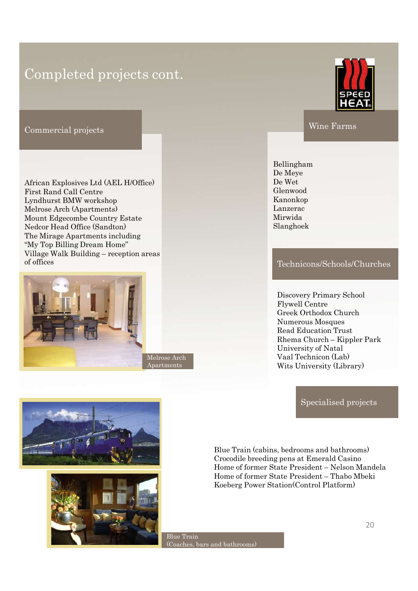### Completed projects cont.

Commercial projects

African Explosives Ltd (AEL H/Office) First Rand Call Centre Lyndhurst BMW workshop Melrose Arch (Apartments) Mount Edgecombe Country Estate Nedcor Head Office (Sandton) The Mirage Apartments including "My Top Billing Dream Home" Completed projects cont.<br>
Commercial projects<br>
Wine F<br>
Mine F<br>
African Explosives Ltd (AEL H/Office)<br>
First Rand Call Centre<br>
First Rand Call Centre<br>
Lyndhuxes Buy Workshop<br>
Melone Arch (Apartments)<br>
Mout Edgecombe Country of offices



Melrose Arch Apartments



Wine Farms

Bellingham De Meye De Wet Glenwood Kanonkop Lanzerac Mirwida Slanghoek

### Technicons/Schools/Churches

Discovery Primary School Wine Farms<br>
Millingham<br>
De Meye<br>
De Wet<br>
Henwood<br>
Kanonkop<br>
anzerac<br>
Iirwida<br>
Ilanghoek<br>
Technicons/Schools/Churches<br>
Discovery Primary School<br>
Flywell Centre<br>
Greek Orthodox Church<br>
Numerous Mosques<br>
Read Education Trust<br> Greek Orthodox Church Numerous Mosques Read Education Trust Bellingham<br>
De Meye<br>
De Wet<br>
Elenwood<br>
aanonkop<br>
aanzerac<br>
Airwida<br>
ilanghoek<br>
Technicons/Schools/Churches<br>
Discovery Primary School<br>
Flywell Centre<br>
Greek Orthodox Church<br>
Numerous Mosques<br>
Read Education Trust<br>
Rhema Chu University of Natal De Meye<br>
De Wet<br>
Henwood<br>
Kanonkop<br>
anzerac<br>
Iirwida<br>
Ilanghoek<br>
Technicons/Schools/Churches<br>
Discovery Primary School<br>
Flywell Centre<br>
Greek Orthodox Church<br>
Numerous Mosques<br>
Read Education Trust<br>
Rhema Church – Kippler Wits University (Library) Discovery Primary School<br>Flywell Centre<br>Greek Orthodox Church<br>Numerous Mosques<br>Read Education Trust<br>Rema Church – Kippler Park<br>University of Natal<br>Vaal Technicon (Lab)<br>Wits University (Library)<br>Specialised projects<br>Special Discovery Primary School<br>Flywell Centre<br>Greek Orthodox Church<br>Numerous Mosques<br>Read Education Trust<br>Rhema Church – Kippler Park<br>University of Natal<br>Vaal Technicon (Lab)<br>Wits University (Library)<br>Specialised projects<br>Specia

Specialised projects

Blue Train (cabins, bedrooms and bathrooms) Crocodile breeding pens at Emerald Casino Flywell Centre<br>
Greek Orthodox Church<br>
Numerous Mosques<br>
Read Education Trust<br>
Rhema Church – Kippler Park<br>
University of Natal<br>
Vaal Technicon (Lab)<br>
Wits University (Library)<br>
Specialised projects<br>
Specialised projects<br>

Blue Train (Coaches, bars and bathrooms)



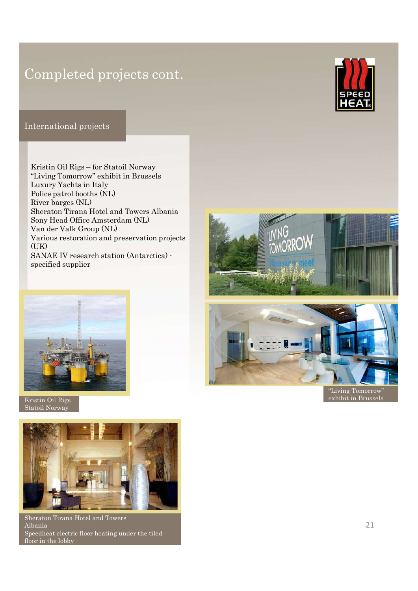## Completed projects cont.

### International projects

Completed projects cont.<br>
http://www.projects.com/<br>
http://www.projects.com/<br>
Kristin Oil Rigs – for Statoil Norway<br>
"Living Tomorrow" exhibit in Brussels<br>
Louxury Yachts in Italy<br>
Rolice patrol booths (NL)<br>
River barges ( "Living Tomorrow" exhibit in Brussels Luxury Yachts in Italy Police patrol booths (NL) River barges (NL) Sheraton Tirana Hotel and Towers Albania Sony Head Office Amsterdam (NL) Completed projects cont.<br>
Maria Group (Maria Group)<br>
Existin Oil Rigs – for Statoil Norway<br>
Tiving Tomorrow" exhibit in Brussels<br>
Luxury Yachts in Italy<br>
Noice patrol botols (NL)<br>
Sheraton Tirana Hotel and Towers Albania<br> Various restoration and preservation projects  $(IIK)$ SANAE IV research station (Antarctica) specified supplier



Kristin Oil Rigs Statoil Norway



Sheraton Tirana Hotel and Towers Albania Speedheat electric floor heating under the tiled floor in the lobby





"Living Tomorrow" exhibit in Brussels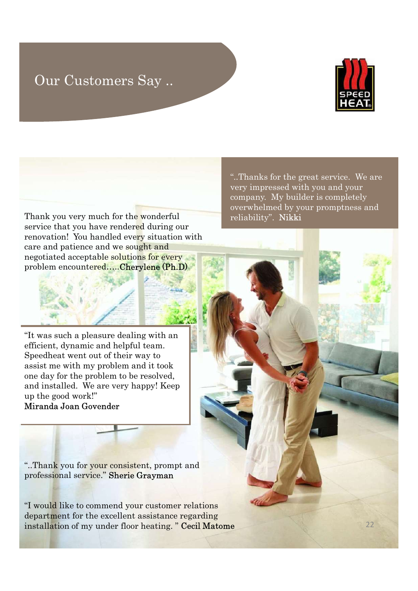### Our Customers Say ..



22

Thank you very much for the wonderful service that you have rendered during our renovation! You handled every situation with care and patience and we sought and negotiated acceptable solutions for every problem encountered…..Cherylene (Ph.D)

"It was such a pleasure dealing with an efficient, dynamic and helpful team. Speedheat went out of their way to assist me with my problem and it took one day for the problem to be resolved, and installed. We are very happy! Keep up the good work!" Miranda Joan Govender

"..Thank you for your consistent, prompt and professional service." Sherie Grayman

"I would like to commend your customer relations department for the excellent assistance regarding installation of my under floor heating. " Cecil Matome

"..Thanks for the great service. We are very impressed with you and your company. My builder is completely overwhelmed by your promptness and reliability". Nikki